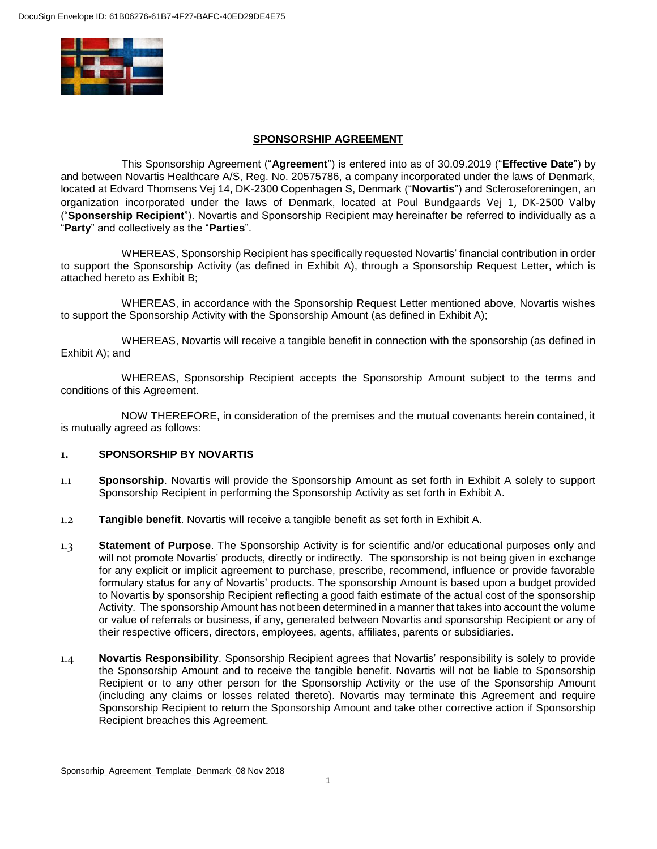

#### **SPONSORSHIP AGREEMENT**

This Sponsorship Agreement ("**Agreement**") is entered into as of 30.09.2019 ("**Effective Date**") by and between Novartis Healthcare A/S, Reg. No. 20575786, a company incorporated under the laws of Denmark, located at Edvard Thomsens Vej 14, DK-2300 Copenhagen S, Denmark ("**Novartis**") and Scleroseforeningen, an organization incorporated under the laws of Denmark, located at Poul Bundgaards Vej 1, DK-2500 Valby ("**Sponsership Recipient**"). Novartis and Sponsorship Recipient may hereinafter be referred to individually as a "**Party**" and collectively as the "**Parties**".

WHEREAS, Sponsorship Recipient has specifically requested Novartis' financial contribution in order to support the Sponsorship Activity (as defined in Exhibit A), through a Sponsorship Request Letter, which is attached hereto as Exhibit B;

WHEREAS, in accordance with the Sponsorship Request Letter mentioned above, Novartis wishes to support the Sponsorship Activity with the Sponsorship Amount (as defined in Exhibit A);

WHEREAS, Novartis will receive a tangible benefit in connection with the sponsorship (as defined in Exhibit A); and

WHEREAS, Sponsorship Recipient accepts the Sponsorship Amount subject to the terms and conditions of this Agreement.

NOW THEREFORE, in consideration of the premises and the mutual covenants herein contained, it is mutually agreed as follows:

### **1. SPONSORSHIP BY NOVARTIS**

- 1.1 **Sponsorship**. Novartis will provide the Sponsorship Amount as set forth in Exhibit A solely to support Sponsorship Recipient in performing the Sponsorship Activity as set forth in Exhibit A.
- 1.2 **Tangible benefit**. Novartis will receive a tangible benefit as set forth in Exhibit A.
- 1.3 **Statement of Purpose**. The Sponsorship Activity is for scientific and/or educational purposes only and will not promote Novartis' products, directly or indirectly. The sponsorship is not being given in exchange for any explicit or implicit agreement to purchase, prescribe, recommend, influence or provide favorable formulary status for any of Novartis' products. The sponsorship Amount is based upon a budget provided to Novartis by sponsorship Recipient reflecting a good faith estimate of the actual cost of the sponsorship Activity. The sponsorship Amount has not been determined in a manner that takes into account the volume or value of referrals or business, if any, generated between Novartis and sponsorship Recipient or any of their respective officers, directors, employees, agents, affiliates, parents or subsidiaries.
- 1.4 **Novartis Responsibility**. Sponsorship Recipient agrees that Novartis' responsibility is solely to provide the Sponsorship Amount and to receive the tangible benefit. Novartis will not be liable to Sponsorship Recipient or to any other person for the Sponsorship Activity or the use of the Sponsorship Amount (including any claims or losses related thereto). Novartis may terminate this Agreement and require Sponsorship Recipient to return the Sponsorship Amount and take other corrective action if Sponsorship Recipient breaches this Agreement.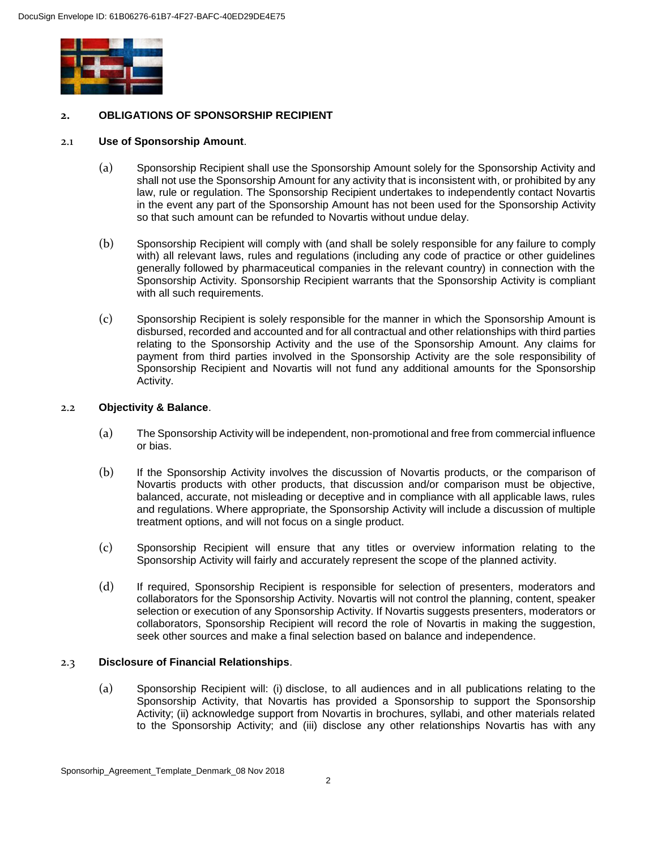

## **2. OBLIGATIONS OF SPONSORSHIP RECIPIENT**

#### 2.1 **Use of Sponsorship Amount**.

- (a) Sponsorship Recipient shall use the Sponsorship Amount solely for the Sponsorship Activity and shall not use the Sponsorship Amount for any activity that is inconsistent with, or prohibited by any law, rule or regulation. The Sponsorship Recipient undertakes to independently contact Novartis in the event any part of the Sponsorship Amount has not been used for the Sponsorship Activity so that such amount can be refunded to Novartis without undue delay.
- (b) Sponsorship Recipient will comply with (and shall be solely responsible for any failure to comply with) all relevant laws, rules and regulations (including any code of practice or other guidelines generally followed by pharmaceutical companies in the relevant country) in connection with the Sponsorship Activity. Sponsorship Recipient warrants that the Sponsorship Activity is compliant with all such requirements.
- (c) Sponsorship Recipient is solely responsible for the manner in which the Sponsorship Amount is disbursed, recorded and accounted and for all contractual and other relationships with third parties relating to the Sponsorship Activity and the use of the Sponsorship Amount. Any claims for payment from third parties involved in the Sponsorship Activity are the sole responsibility of Sponsorship Recipient and Novartis will not fund any additional amounts for the Sponsorship Activity.

#### 2.2 **Objectivity & Balance**.

- (a) The Sponsorship Activity will be independent, non-promotional and free from commercial influence or bias.
- (b) If the Sponsorship Activity involves the discussion of Novartis products, or the comparison of Novartis products with other products, that discussion and/or comparison must be objective, balanced, accurate, not misleading or deceptive and in compliance with all applicable laws, rules and regulations. Where appropriate, the Sponsorship Activity will include a discussion of multiple treatment options, and will not focus on a single product.
- (c) Sponsorship Recipient will ensure that any titles or overview information relating to the Sponsorship Activity will fairly and accurately represent the scope of the planned activity.
- (d) If required, Sponsorship Recipient is responsible for selection of presenters, moderators and collaborators for the Sponsorship Activity. Novartis will not control the planning, content, speaker selection or execution of any Sponsorship Activity. If Novartis suggests presenters, moderators or collaborators, Sponsorship Recipient will record the role of Novartis in making the suggestion, seek other sources and make a final selection based on balance and independence.

### 2.3 **Disclosure of Financial Relationships**.

(a) Sponsorship Recipient will: (i) disclose, to all audiences and in all publications relating to the Sponsorship Activity, that Novartis has provided a Sponsorship to support the Sponsorship Activity; (ii) acknowledge support from Novartis in brochures, syllabi, and other materials related to the Sponsorship Activity; and (iii) disclose any other relationships Novartis has with any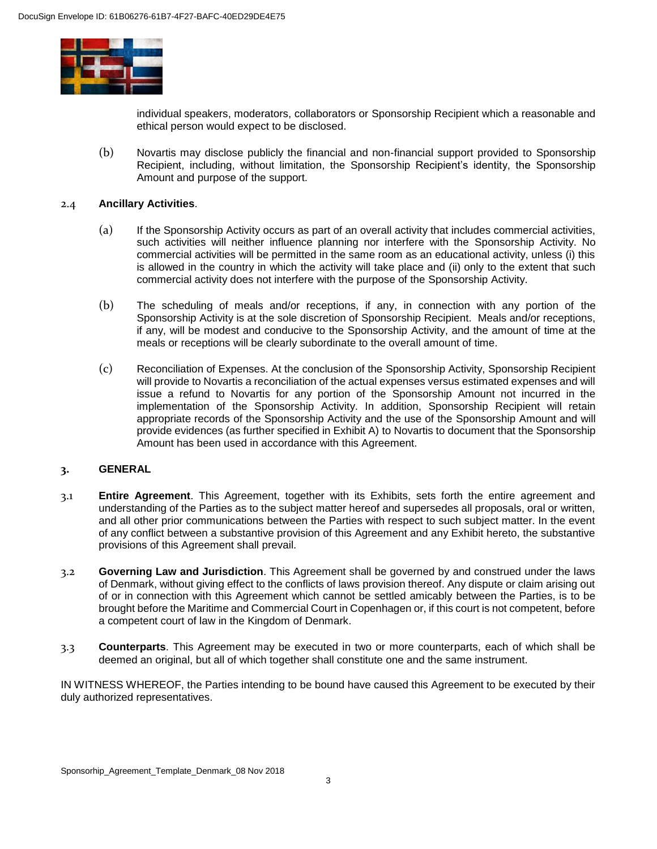

individual speakers, moderators, collaborators or Sponsorship Recipient which a reasonable and ethical person would expect to be disclosed.

(b) Novartis may disclose publicly the financial and non-financial support provided to Sponsorship Recipient, including, without limitation, the Sponsorship Recipient's identity, the Sponsorship Amount and purpose of the support.

### 2.4 **Ancillary Activities**.

- (a) If the Sponsorship Activity occurs as part of an overall activity that includes commercial activities, such activities will neither influence planning nor interfere with the Sponsorship Activity. No commercial activities will be permitted in the same room as an educational activity, unless (i) this is allowed in the country in which the activity will take place and (ii) only to the extent that such commercial activity does not interfere with the purpose of the Sponsorship Activity.
- (b) The scheduling of meals and/or receptions, if any, in connection with any portion of the Sponsorship Activity is at the sole discretion of Sponsorship Recipient. Meals and/or receptions, if any, will be modest and conducive to the Sponsorship Activity, and the amount of time at the meals or receptions will be clearly subordinate to the overall amount of time.
- (c) Reconciliation of Expenses. At the conclusion of the Sponsorship Activity, Sponsorship Recipient will provide to Novartis a reconciliation of the actual expenses versus estimated expenses and will issue a refund to Novartis for any portion of the Sponsorship Amount not incurred in the implementation of the Sponsorship Activity. In addition, Sponsorship Recipient will retain appropriate records of the Sponsorship Activity and the use of the Sponsorship Amount and will provide evidences (as further specified in Exhibit A) to Novartis to document that the Sponsorship Amount has been used in accordance with this Agreement.

### **3. GENERAL**

- 3.1 **Entire Agreement**. This Agreement, together with its Exhibits, sets forth the entire agreement and understanding of the Parties as to the subject matter hereof and supersedes all proposals, oral or written, and all other prior communications between the Parties with respect to such subject matter. In the event of any conflict between a substantive provision of this Agreement and any Exhibit hereto, the substantive provisions of this Agreement shall prevail.
- 3.2 **Governing Law and Jurisdiction**. This Agreement shall be governed by and construed under the laws of Denmark, without giving effect to the conflicts of laws provision thereof. Any dispute or claim arising out of or in connection with this Agreement which cannot be settled amicably between the Parties, is to be brought before the Maritime and Commercial Court in Copenhagen or, if this court is not competent, before a competent court of law in the Kingdom of Denmark.
- 3.3 **Counterparts**. This Agreement may be executed in two or more counterparts, each of which shall be deemed an original, but all of which together shall constitute one and the same instrument.

IN WITNESS WHEREOF, the Parties intending to be bound have caused this Agreement to be executed by their duly authorized representatives.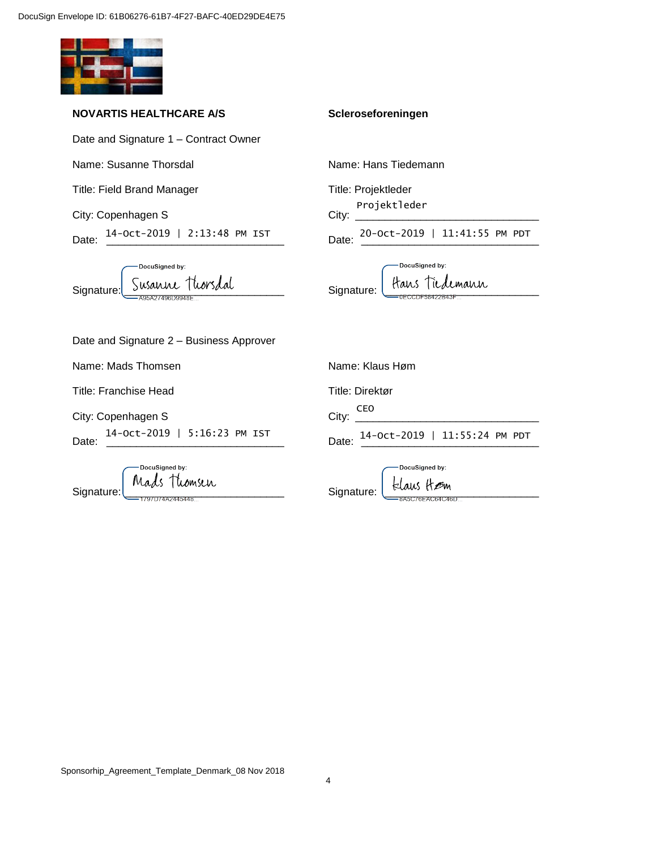

### **NOVARTIS HEALTHCARE A/S**

Date and Signature 1 – Contract Owner

Name: Susanne Thorsdal

Title: Field Brand Manager

City: Copenhagen S

Date:  $\frac{14 - 0ct - 2019}{...}$  | 2:13:48 PM IST Date: \_\_\_\_\_\_\_\_\_\_\_\_\_\_\_\_\_\_\_\_\_\_\_\_\_\_\_\_\_\_ 14-Oct-2019 | 2:13:48 PM IST 20-Oct-2019 | 11:41:55 PM PDT

-DocuSigned by: Signature: Susanne Thors dal

#### **Scleroseforeningen**

Name: Hans Tiedemann

Title: Projektleder

City: Projektleder

DocuSigned by: Signature: Hans Tiedemann

Date and Signature 2 – Business Approver

Name: Mads Thomsen

Title: Franchise Head

City: Copenhagen S

Date: \_\_\_\_\_\_\_\_\_\_\_\_\_\_\_\_\_\_\_\_\_\_\_\_\_\_\_\_\_\_ 14-Oct-2019 | 5:16:23 PM IST

| Signature: | DocuSigned by:<br>Mads Thomsen |  |
|------------|--------------------------------|--|
|            | )74A2445448                    |  |

Name: Klaus Høm

Title: Direktør

City: \_\_\_\_\_\_\_\_\_\_\_\_\_\_\_\_\_\_\_\_\_\_\_\_\_\_\_\_\_\_\_ CEO

Date: \_\_\_\_\_\_\_\_\_\_\_\_\_\_\_\_\_\_\_\_\_\_\_\_\_\_\_\_\_\_ 14-Oct-2019 | 11:55:24 PM PDT

DocuSigned by: Signature:  $\underbrace{\downarrow}$  Elaus  $\downarrow$   $\mathscr{D}$ m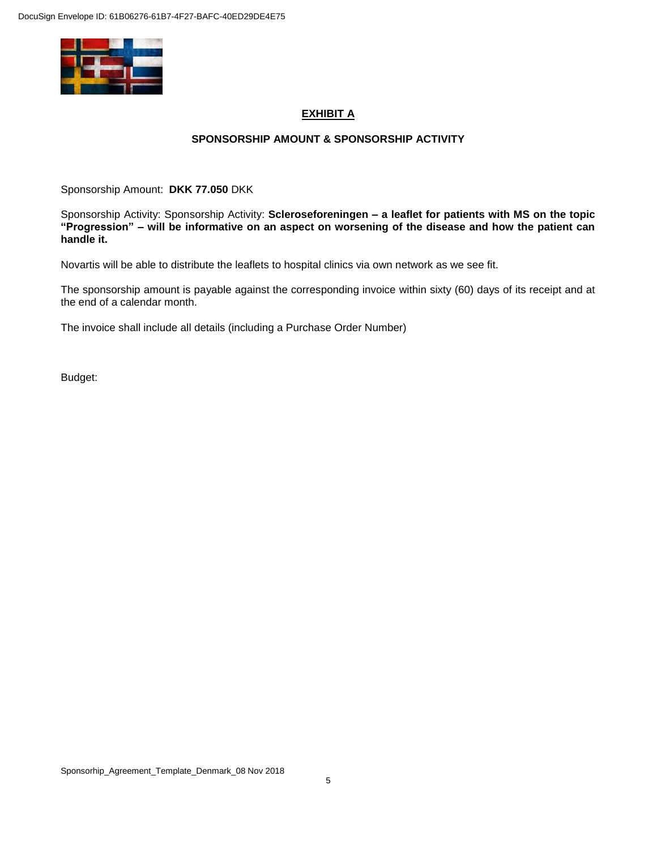

# **EXHIBIT A**

## **SPONSORSHIP AMOUNT & SPONSORSHIP ACTIVITY**

Sponsorship Amount: **DKK 77.050** DKK

Sponsorship Activity: Sponsorship Activity: **Scleroseforeningen – a leaflet for patients with MS on the topic "Progression" – will be informative on an aspect on worsening of the disease and how the patient can handle it.**

Novartis will be able to distribute the leaflets to hospital clinics via own network as we see fit.

The sponsorship amount is payable against the corresponding invoice within sixty (60) days of its receipt and at the end of a calendar month.

The invoice shall include all details (including a Purchase Order Number)

Budget: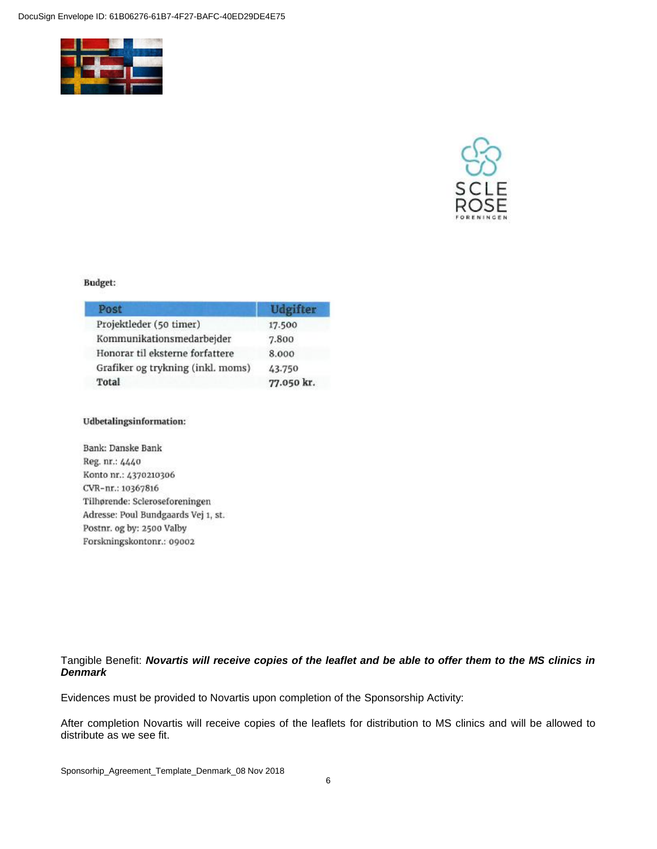



### **Budget:**

| Post                              | <b>Udgifter</b> |
|-----------------------------------|-----------------|
| Projektleder (50 timer)           | 17.500          |
| Kommunikationsmedarbejder         | 7.800           |
| Honorar til eksterne forfattere   | 8.000           |
| Grafiker og trykning (inkl. moms) | 43.750          |
| Total                             | 77.050 kr.      |

#### Udbetalingsinformation:

Bank: Danske Bank Reg. nr.: 4440 Konto nr.: 4370210306 CVR-nr.: 10367816 Tilhørende: Scleroseforeningen Adresse: Poul Bundgaards Vej 1, st. Postnr. og by: 2500 Valby Forskningskontonr.: 09002

## Tangible Benefit: *Novartis will receive copies of the leaflet and be able to offer them to the MS clinics in Denmark*

Evidences must be provided to Novartis upon completion of the Sponsorship Activity:

After completion Novartis will receive copies of the leaflets for distribution to MS clinics and will be allowed to distribute as we see fit.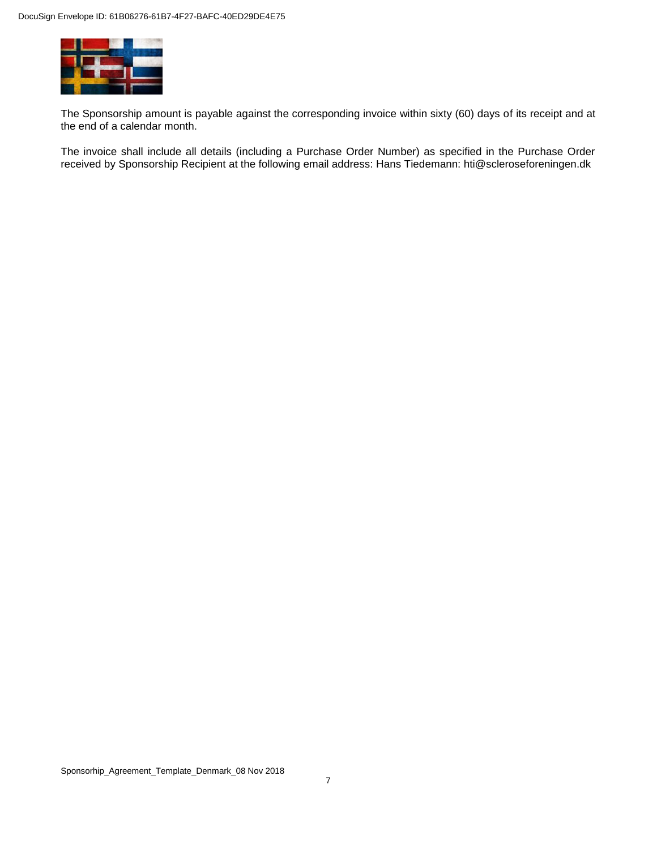

The Sponsorship amount is payable against the corresponding invoice within sixty (60) days of its receipt and at the end of a calendar month.

The invoice shall include all details (including a Purchase Order Number) as specified in the Purchase Order received by Sponsorship Recipient at the following email address: Hans Tiedemann: hti@scleroseforeningen.dk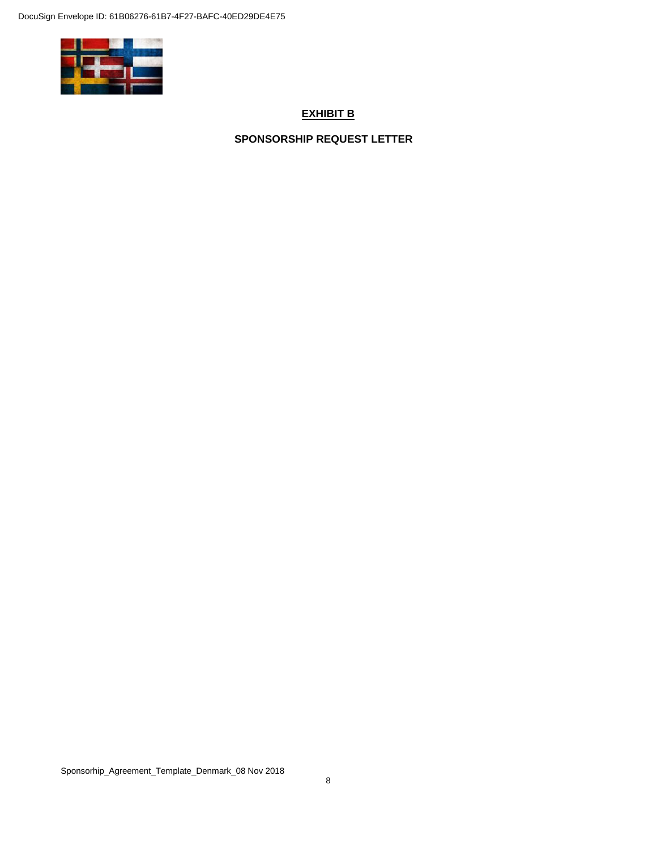

## **EXHIBIT B**

**SPONSORSHIP REQUEST LETTER**

Sponsorhip\_Agreement\_Template\_Denmark\_08 Nov 2018